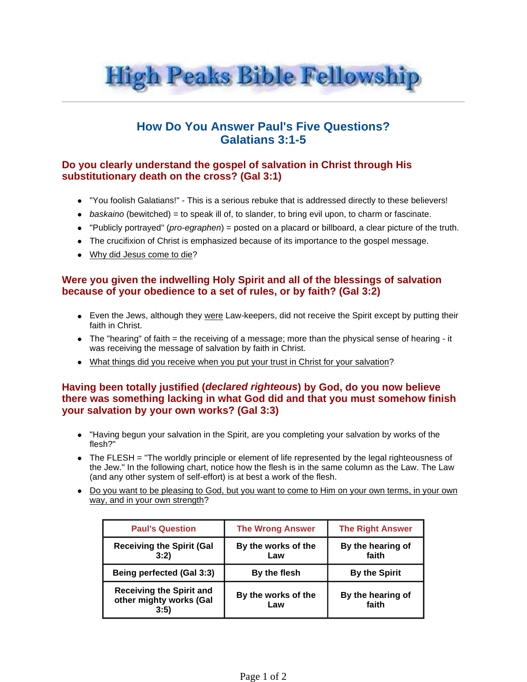

# **How Do You Answer Paul's Five Questions? Galatians 3:1-5**

### **Do you clearly understand the gospel of salvation in Christ through His substitutionary death on the cross? (Gal 3:1)**

- "You foolish Galatians!" This is a serious rebuke that is addressed directly to these believers!
- $\bullet$  baskaino (bewitched) = to speak ill of, to slander, to bring evil upon, to charm or fascinate.
- "Publicly portrayed" (pro-egraphen) = posted on a placard or billboard, a clear picture of the truth.
- The crucifixion of Christ is emphasized because of its importance to the gospel message.
- Why did Jesus come to die?

#### **Were you given the indwelling Holy Spirit and all of the blessings of salvation because of your obedience to a set of rules, or by faith? (Gal 3:2)**

- Even the Jews, although they were Law-keepers, did not receive the Spirit except by putting their faith in Christ.
- $\bullet$  The "hearing" of faith  $=$  the receiving of a message; more than the physical sense of hearing it was receiving the message of salvation by faith in Christ.
- What things did you receive when you put your trust in Christ for your salvation?

#### **Having been totally justified (declared righteous) by God, do you now believe there was something lacking in what God did and that you must somehow finish your salvation by your own works? (Gal 3:3)**

- "Having begun your salvation in the Spirit, are you completing your salvation by works of the flesh?"
- The FLESH = "The worldly principle or element of life represented by the legal righteousness of the Jew." In the following chart, notice how the flesh is in the same column as the Law. The Law (and any other system of self-effort) is at best a work of the flesh.
- Do you want to be pleasing to God, but you want to come to Him on your own terms, in your own way, and in your own strength?

| <b>Paul's Question</b>                                             | <b>The Wrong Answer</b>    | <b>The Right Answer</b>    |
|--------------------------------------------------------------------|----------------------------|----------------------------|
| <b>Receiving the Spirit (Gal</b><br>3:2)                           | By the works of the<br>Law | By the hearing of<br>faith |
| Being perfected (Gal 3:3)                                          | By the flesh               | <b>By the Spirit</b>       |
| <b>Receiving the Spirit and</b><br>other mighty works (Gal<br>3:5) | By the works of the<br>Law | By the hearing of<br>faith |